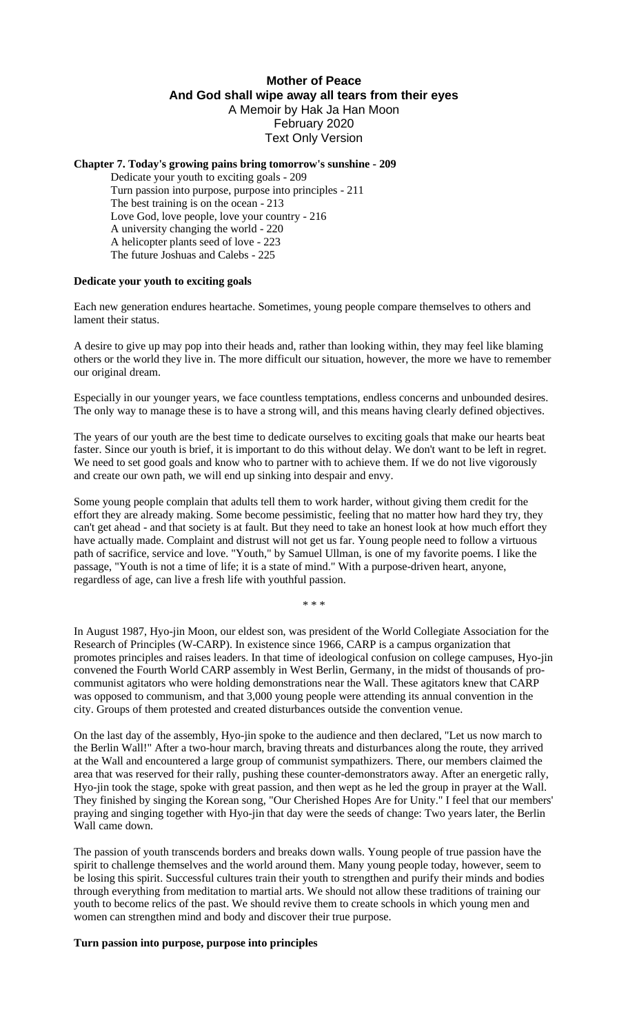# **Mother of Peace And God shall wipe away all tears from their eyes** A Memoir by Hak Ja Han Moon February 2020 Text Only Version

## **Chapter 7. Today's growing pains bring tomorrow's sunshine - 209**

Dedicate your youth to exciting goals - 209 Turn passion into purpose, purpose into principles - 211 The best training is on the ocean - 213 Love God, love people, love your country - 216 A university changing the world - 220 A helicopter plants seed of love - 223 The future Joshuas and Calebs - 225

# **Dedicate your youth to exciting goals**

Each new generation endures heartache. Sometimes, young people compare themselves to others and lament their status.

A desire to give up may pop into their heads and, rather than looking within, they may feel like blaming others or the world they live in. The more difficult our situation, however, the more we have to remember our original dream.

Especially in our younger years, we face countless temptations, endless concerns and unbounded desires. The only way to manage these is to have a strong will, and this means having clearly defined objectives.

The years of our youth are the best time to dedicate ourselves to exciting goals that make our hearts beat faster. Since our youth is brief, it is important to do this without delay. We don't want to be left in regret. We need to set good goals and know who to partner with to achieve them. If we do not live vigorously and create our own path, we will end up sinking into despair and envy.

Some young people complain that adults tell them to work harder, without giving them credit for the effort they are already making. Some become pessimistic, feeling that no matter how hard they try, they can't get ahead - and that society is at fault. But they need to take an honest look at how much effort they have actually made. Complaint and distrust will not get us far. Young people need to follow a virtuous path of sacrifice, service and love. "Youth," by Samuel Ullman, is one of my favorite poems. I like the passage, "Youth is not a time of life; it is a state of mind." With a purpose-driven heart, anyone, regardless of age, can live a fresh life with youthful passion.

\* \* \*

In August 1987, Hyo-jin Moon, our eldest son, was president of the World Collegiate Association for the Research of Principles (W-CARP). In existence since 1966, CARP is a campus organization that promotes principles and raises leaders. In that time of ideological confusion on college campuses, Hyo-jin convened the Fourth World CARP assembly in West Berlin, Germany, in the midst of thousands of procommunist agitators who were holding demonstrations near the Wall. These agitators knew that CARP was opposed to communism, and that 3,000 young people were attending its annual convention in the city. Groups of them protested and created disturbances outside the convention venue.

On the last day of the assembly, Hyo-jin spoke to the audience and then declared, "Let us now march to the Berlin Wall!" After a two-hour march, braving threats and disturbances along the route, they arrived at the Wall and encountered a large group of communist sympathizers. There, our members claimed the area that was reserved for their rally, pushing these counter-demonstrators away. After an energetic rally, Hyo-jin took the stage, spoke with great passion, and then wept as he led the group in prayer at the Wall. They finished by singing the Korean song, "Our Cherished Hopes Are for Unity." I feel that our members' praying and singing together with Hyo-jin that day were the seeds of change: Two years later, the Berlin Wall came down.

The passion of youth transcends borders and breaks down walls. Young people of true passion have the spirit to challenge themselves and the world around them. Many young people today, however, seem to be losing this spirit. Successful cultures train their youth to strengthen and purify their minds and bodies through everything from meditation to martial arts. We should not allow these traditions of training our youth to become relics of the past. We should revive them to create schools in which young men and women can strengthen mind and body and discover their true purpose.

## **Turn passion into purpose, purpose into principles**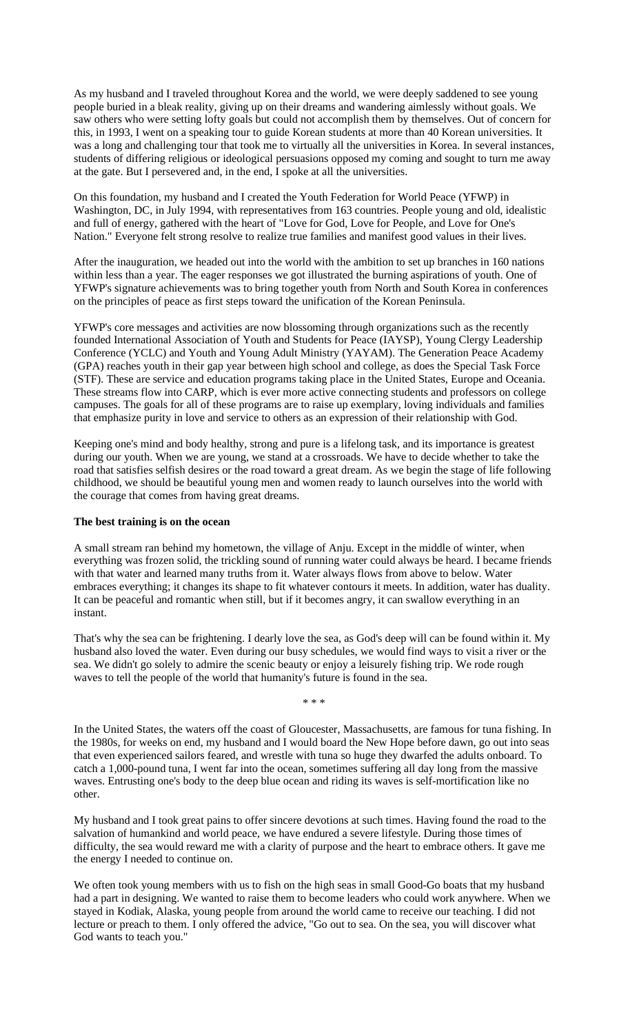As my husband and I traveled throughout Korea and the world, we were deeply saddened to see young people buried in a bleak reality, giving up on their dreams and wandering aimlessly without goals. We saw others who were setting lofty goals but could not accomplish them by themselves. Out of concern for this, in 1993, I went on a speaking tour to guide Korean students at more than 40 Korean universities. It was a long and challenging tour that took me to virtually all the universities in Korea. In several instances, students of differing religious or ideological persuasions opposed my coming and sought to turn me away at the gate. But I persevered and, in the end, I spoke at all the universities.

On this foundation, my husband and I created the Youth Federation for World Peace (YFWP) in Washington, DC, in July 1994, with representatives from 163 countries. People young and old, idealistic and full of energy, gathered with the heart of "Love for God, Love for People, and Love for One's Nation." Everyone felt strong resolve to realize true families and manifest good values in their lives.

After the inauguration, we headed out into the world with the ambition to set up branches in 160 nations within less than a year. The eager responses we got illustrated the burning aspirations of youth. One of YFWP's signature achievements was to bring together youth from North and South Korea in conferences on the principles of peace as first steps toward the unification of the Korean Peninsula.

YFWP's core messages and activities are now blossoming through organizations such as the recently founded International Association of Youth and Students for Peace (IAYSP), Young Clergy Leadership Conference (YCLC) and Youth and Young Adult Ministry (YAYAM). The Generation Peace Academy (GPA) reaches youth in their gap year between high school and college, as does the Special Task Force (STF). These are service and education programs taking place in the United States, Europe and Oceania. These streams flow into CARP, which is ever more active connecting students and professors on college campuses. The goals for all of these programs are to raise up exemplary, loving individuals and families that emphasize purity in love and service to others as an expression of their relationship with God.

Keeping one's mind and body healthy, strong and pure is a lifelong task, and its importance is greatest during our youth. When we are young, we stand at a crossroads. We have to decide whether to take the road that satisfies selfish desires or the road toward a great dream. As we begin the stage of life following childhood, we should be beautiful young men and women ready to launch ourselves into the world with the courage that comes from having great dreams.

#### **The best training is on the ocean**

A small stream ran behind my hometown, the village of Anju. Except in the middle of winter, when everything was frozen solid, the trickling sound of running water could always be heard. I became friends with that water and learned many truths from it. Water always flows from above to below. Water embraces everything; it changes its shape to fit whatever contours it meets. In addition, water has duality. It can be peaceful and romantic when still, but if it becomes angry, it can swallow everything in an instant.

That's why the sea can be frightening. I dearly love the sea, as God's deep will can be found within it. My husband also loved the water. Even during our busy schedules, we would find ways to visit a river or the sea. We didn't go solely to admire the scenic beauty or enjoy a leisurely fishing trip. We rode rough waves to tell the people of the world that humanity's future is found in the sea.

\* \* \*

In the United States, the waters off the coast of Gloucester, Massachusetts, are famous for tuna fishing. In the 1980s, for weeks on end, my husband and I would board the New Hope before dawn, go out into seas that even experienced sailors feared, and wrestle with tuna so huge they dwarfed the adults onboard. To catch a 1,000-pound tuna, I went far into the ocean, sometimes suffering all day long from the massive waves. Entrusting one's body to the deep blue ocean and riding its waves is self-mortification like no other.

My husband and I took great pains to offer sincere devotions at such times. Having found the road to the salvation of humankind and world peace, we have endured a severe lifestyle. During those times of difficulty, the sea would reward me with a clarity of purpose and the heart to embrace others. It gave me the energy I needed to continue on.

We often took young members with us to fish on the high seas in small Good-Go boats that my husband had a part in designing. We wanted to raise them to become leaders who could work anywhere. When we stayed in Kodiak, Alaska, young people from around the world came to receive our teaching. I did not lecture or preach to them. I only offered the advice, "Go out to sea. On the sea, you will discover what God wants to teach you."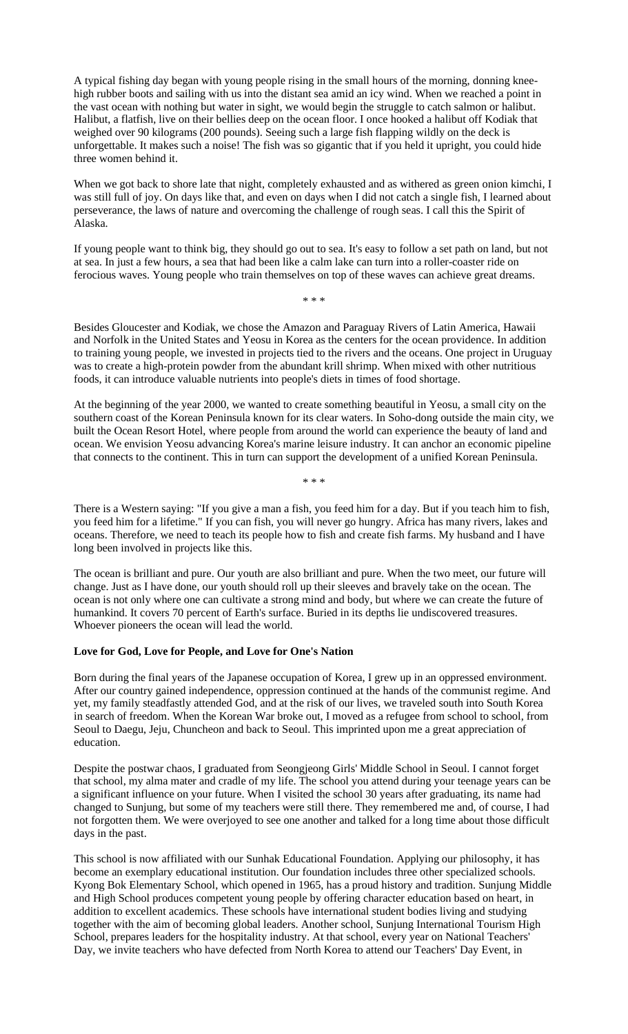A typical fishing day began with young people rising in the small hours of the morning, donning kneehigh rubber boots and sailing with us into the distant sea amid an icy wind. When we reached a point in the vast ocean with nothing but water in sight, we would begin the struggle to catch salmon or halibut. Halibut, a flatfish, live on their bellies deep on the ocean floor. I once hooked a halibut off Kodiak that weighed over 90 kilograms (200 pounds). Seeing such a large fish flapping wildly on the deck is unforgettable. It makes such a noise! The fish was so gigantic that if you held it upright, you could hide three women behind it.

When we got back to shore late that night, completely exhausted and as withered as green onion kimchi, I was still full of joy. On days like that, and even on days when I did not catch a single fish, I learned about perseverance, the laws of nature and overcoming the challenge of rough seas. I call this the Spirit of Alaska.

If young people want to think big, they should go out to sea. It's easy to follow a set path on land, but not at sea. In just a few hours, a sea that had been like a calm lake can turn into a roller-coaster ride on ferocious waves. Young people who train themselves on top of these waves can achieve great dreams.

\* \* \*

Besides Gloucester and Kodiak, we chose the Amazon and Paraguay Rivers of Latin America, Hawaii and Norfolk in the United States and Yeosu in Korea as the centers for the ocean providence. In addition to training young people, we invested in projects tied to the rivers and the oceans. One project in Uruguay was to create a high-protein powder from the abundant krill shrimp. When mixed with other nutritious foods, it can introduce valuable nutrients into people's diets in times of food shortage.

At the beginning of the year 2000, we wanted to create something beautiful in Yeosu, a small city on the southern coast of the Korean Peninsula known for its clear waters. In Soho-dong outside the main city, we built the Ocean Resort Hotel, where people from around the world can experience the beauty of land and ocean. We envision Yeosu advancing Korea's marine leisure industry. It can anchor an economic pipeline that connects to the continent. This in turn can support the development of a unified Korean Peninsula.

\* \* \*

There is a Western saying: "If you give a man a fish, you feed him for a day. But if you teach him to fish, you feed him for a lifetime." If you can fish, you will never go hungry. Africa has many rivers, lakes and oceans. Therefore, we need to teach its people how to fish and create fish farms. My husband and I have long been involved in projects like this.

The ocean is brilliant and pure. Our youth are also brilliant and pure. When the two meet, our future will change. Just as I have done, our youth should roll up their sleeves and bravely take on the ocean. The ocean is not only where one can cultivate a strong mind and body, but where we can create the future of humankind. It covers 70 percent of Earth's surface. Buried in its depths lie undiscovered treasures. Whoever pioneers the ocean will lead the world.

#### **Love for God, Love for People, and Love for One's Nation**

Born during the final years of the Japanese occupation of Korea, I grew up in an oppressed environment. After our country gained independence, oppression continued at the hands of the communist regime. And yet, my family steadfastly attended God, and at the risk of our lives, we traveled south into South Korea in search of freedom. When the Korean War broke out, I moved as a refugee from school to school, from Seoul to Daegu, Jeju, Chuncheon and back to Seoul. This imprinted upon me a great appreciation of education.

Despite the postwar chaos, I graduated from Seongjeong Girls' Middle School in Seoul. I cannot forget that school, my alma mater and cradle of my life. The school you attend during your teenage years can be a significant influence on your future. When I visited the school 30 years after graduating, its name had changed to Sunjung, but some of my teachers were still there. They remembered me and, of course, I had not forgotten them. We were overjoyed to see one another and talked for a long time about those difficult days in the past.

This school is now affiliated with our Sunhak Educational Foundation. Applying our philosophy, it has become an exemplary educational institution. Our foundation includes three other specialized schools. Kyong Bok Elementary School, which opened in 1965, has a proud history and tradition. Sunjung Middle and High School produces competent young people by offering character education based on heart, in addition to excellent academics. These schools have international student bodies living and studying together with the aim of becoming global leaders. Another school, Sunjung International Tourism High School, prepares leaders for the hospitality industry. At that school, every year on National Teachers' Day, we invite teachers who have defected from North Korea to attend our Teachers' Day Event, in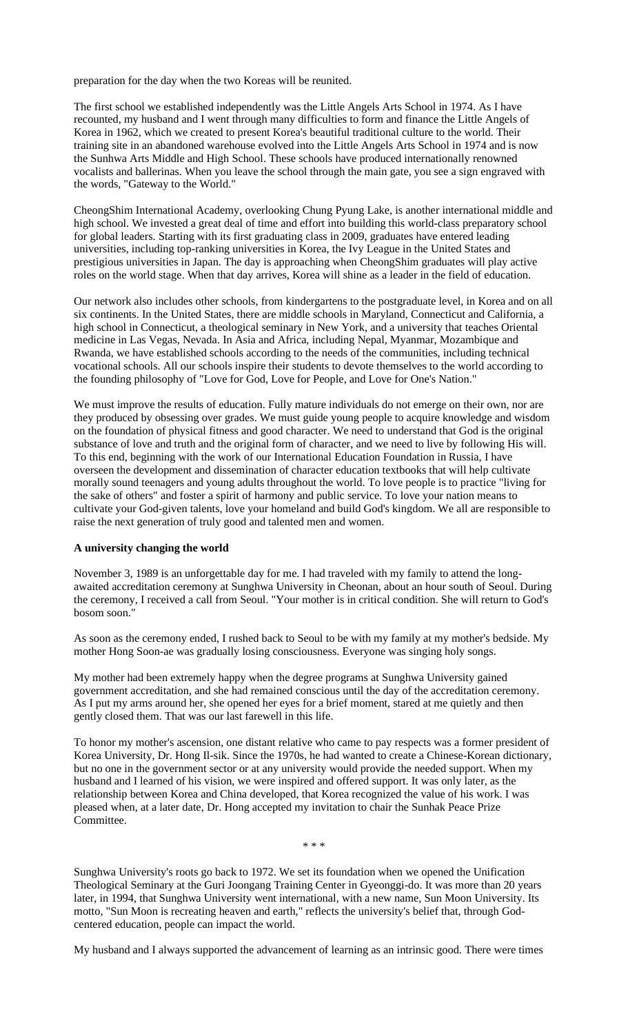preparation for the day when the two Koreas will be reunited.

The first school we established independently was the Little Angels Arts School in 1974. As I have recounted, my husband and I went through many difficulties to form and finance the Little Angels of Korea in 1962, which we created to present Korea's beautiful traditional culture to the world. Their training site in an abandoned warehouse evolved into the Little Angels Arts School in 1974 and is now the Sunhwa Arts Middle and High School. These schools have produced internationally renowned vocalists and ballerinas. When you leave the school through the main gate, you see a sign engraved with the words, "Gateway to the World."

CheongShim International Academy, overlooking Chung Pyung Lake, is another international middle and high school. We invested a great deal of time and effort into building this world-class preparatory school for global leaders. Starting with its first graduating class in 2009, graduates have entered leading universities, including top-ranking universities in Korea, the Ivy League in the United States and prestigious universities in Japan. The day is approaching when CheongShim graduates will play active roles on the world stage. When that day arrives, Korea will shine as a leader in the field of education.

Our network also includes other schools, from kindergartens to the postgraduate level, in Korea and on all six continents. In the United States, there are middle schools in Maryland, Connecticut and California, a high school in Connecticut, a theological seminary in New York, and a university that teaches Oriental medicine in Las Vegas, Nevada. In Asia and Africa, including Nepal, Myanmar, Mozambique and Rwanda, we have established schools according to the needs of the communities, including technical vocational schools. All our schools inspire their students to devote themselves to the world according to the founding philosophy of "Love for God, Love for People, and Love for One's Nation."

We must improve the results of education. Fully mature individuals do not emerge on their own, nor are they produced by obsessing over grades. We must guide young people to acquire knowledge and wisdom on the foundation of physical fitness and good character. We need to understand that God is the original substance of love and truth and the original form of character, and we need to live by following His will. To this end, beginning with the work of our International Education Foundation in Russia, I have overseen the development and dissemination of character education textbooks that will help cultivate morally sound teenagers and young adults throughout the world. To love people is to practice "living for the sake of others" and foster a spirit of harmony and public service. To love your nation means to cultivate your God-given talents, love your homeland and build God's kingdom. We all are responsible to raise the next generation of truly good and talented men and women.

### **A university changing the world**

November 3, 1989 is an unforgettable day for me. I had traveled with my family to attend the longawaited accreditation ceremony at Sunghwa University in Cheonan, about an hour south of Seoul. During the ceremony, I received a call from Seoul. "Your mother is in critical condition. She will return to God's bosom soon."

As soon as the ceremony ended, I rushed back to Seoul to be with my family at my mother's bedside. My mother Hong Soon-ae was gradually losing consciousness. Everyone was singing holy songs.

My mother had been extremely happy when the degree programs at Sunghwa University gained government accreditation, and she had remained conscious until the day of the accreditation ceremony. As I put my arms around her, she opened her eyes for a brief moment, stared at me quietly and then gently closed them. That was our last farewell in this life.

To honor my mother's ascension, one distant relative who came to pay respects was a former president of Korea University, Dr. Hong Il-sik. Since the 1970s, he had wanted to create a Chinese-Korean dictionary, but no one in the government sector or at any university would provide the needed support. When my husband and I learned of his vision, we were inspired and offered support. It was only later, as the relationship between Korea and China developed, that Korea recognized the value of his work. I was pleased when, at a later date, Dr. Hong accepted my invitation to chair the Sunhak Peace Prize Committee.

\* \* \*

Sunghwa University's roots go back to 1972. We set its foundation when we opened the Unification Theological Seminary at the Guri Joongang Training Center in Gyeonggi-do. It was more than 20 years later, in 1994, that Sunghwa University went international, with a new name, Sun Moon University. Its motto, "Sun Moon is recreating heaven and earth," reflects the university's belief that, through Godcentered education, people can impact the world.

My husband and I always supported the advancement of learning as an intrinsic good. There were times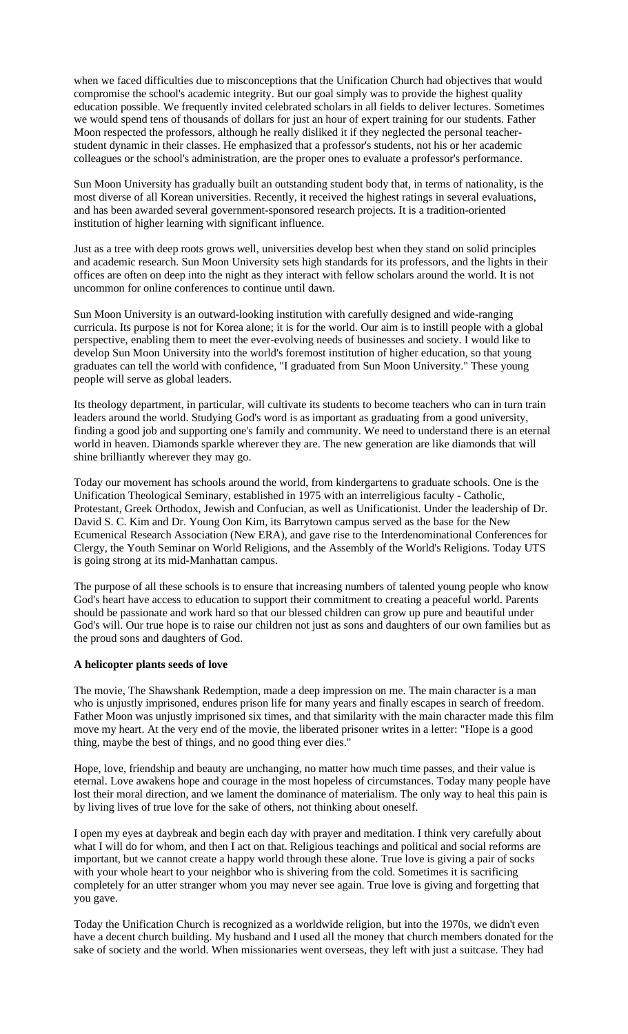when we faced difficulties due to misconceptions that the Unification Church had objectives that would compromise the school's academic integrity. But our goal simply was to provide the highest quality education possible. We frequently invited celebrated scholars in all fields to deliver lectures. Sometimes we would spend tens of thousands of dollars for just an hour of expert training for our students. Father Moon respected the professors, although he really disliked it if they neglected the personal teacherstudent dynamic in their classes. He emphasized that a professor's students, not his or her academic colleagues or the school's administration, are the proper ones to evaluate a professor's performance.

Sun Moon University has gradually built an outstanding student body that, in terms of nationality, is the most diverse of all Korean universities. Recently, it received the highest ratings in several evaluations, and has been awarded several government-sponsored research projects. It is a tradition-oriented institution of higher learning with significant influence.

Just as a tree with deep roots grows well, universities develop best when they stand on solid principles and academic research. Sun Moon University sets high standards for its professors, and the lights in their offices are often on deep into the night as they interact with fellow scholars around the world. It is not uncommon for online conferences to continue until dawn.

Sun Moon University is an outward-looking institution with carefully designed and wide-ranging curricula. Its purpose is not for Korea alone; it is for the world. Our aim is to instill people with a global perspective, enabling them to meet the ever-evolving needs of businesses and society. I would like to develop Sun Moon University into the world's foremost institution of higher education, so that young graduates can tell the world with confidence, "I graduated from Sun Moon University." These young people will serve as global leaders.

Its theology department, in particular, will cultivate its students to become teachers who can in turn train leaders around the world. Studying God's word is as important as graduating from a good university, finding a good job and supporting one's family and community. We need to understand there is an eternal world in heaven. Diamonds sparkle wherever they are. The new generation are like diamonds that will shine brilliantly wherever they may go.

Today our movement has schools around the world, from kindergartens to graduate schools. One is the Unification Theological Seminary, established in 1975 with an interreligious faculty - Catholic, Protestant, Greek Orthodox, Jewish and Confucian, as well as Unificationist. Under the leadership of Dr. David S. C. Kim and Dr. Young Oon Kim, its Barrytown campus served as the base for the New Ecumenical Research Association (New ERA), and gave rise to the Interdenominational Conferences for Clergy, the Youth Seminar on World Religions, and the Assembly of the World's Religions. Today UTS is going strong at its mid-Manhattan campus.

The purpose of all these schools is to ensure that increasing numbers of talented young people who know God's heart have access to education to support their commitment to creating a peaceful world. Parents should be passionate and work hard so that our blessed children can grow up pure and beautiful under God's will. Our true hope is to raise our children not just as sons and daughters of our own families but as the proud sons and daughters of God.

## **A helicopter plants seeds of love**

The movie, The Shawshank Redemption, made a deep impression on me. The main character is a man who is unjustly imprisoned, endures prison life for many years and finally escapes in search of freedom. Father Moon was unjustly imprisoned six times, and that similarity with the main character made this film move my heart. At the very end of the movie, the liberated prisoner writes in a letter: "Hope is a good thing, maybe the best of things, and no good thing ever dies."

Hope, love, friendship and beauty are unchanging, no matter how much time passes, and their value is eternal. Love awakens hope and courage in the most hopeless of circumstances. Today many people have lost their moral direction, and we lament the dominance of materialism. The only way to heal this pain is by living lives of true love for the sake of others, not thinking about oneself.

I open my eyes at daybreak and begin each day with prayer and meditation. I think very carefully about what I will do for whom, and then I act on that. Religious teachings and political and social reforms are important, but we cannot create a happy world through these alone. True love is giving a pair of socks with your whole heart to your neighbor who is shivering from the cold. Sometimes it is sacrificing completely for an utter stranger whom you may never see again. True love is giving and forgetting that you gave.

Today the Unification Church is recognized as a worldwide religion, but into the 1970s, we didn't even have a decent church building. My husband and I used all the money that church members donated for the sake of society and the world. When missionaries went overseas, they left with just a suitcase. They had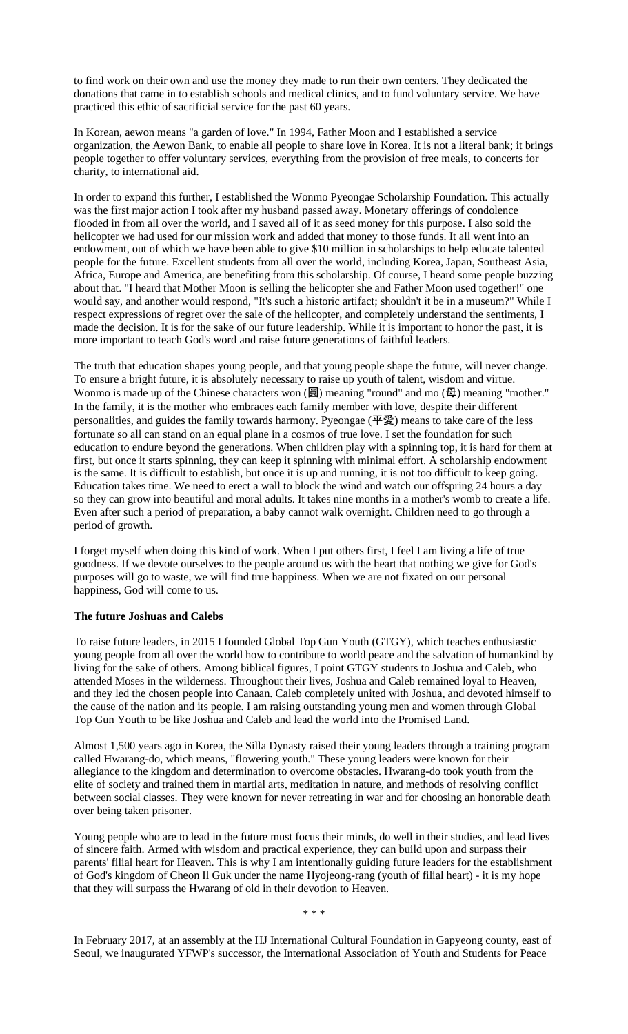to find work on their own and use the money they made to run their own centers. They dedicated the donations that came in to establish schools and medical clinics, and to fund voluntary service. We have practiced this ethic of sacrificial service for the past 60 years.

In Korean, aewon means "a garden of love." In 1994, Father Moon and I established a service organization, the Aewon Bank, to enable all people to share love in Korea. It is not a literal bank; it brings people together to offer voluntary services, everything from the provision of free meals, to concerts for charity, to international aid.

In order to expand this further, I established the Wonmo Pyeongae Scholarship Foundation. This actually was the first major action I took after my husband passed away. Monetary offerings of condolence flooded in from all over the world, and I saved all of it as seed money for this purpose. I also sold the helicopter we had used for our mission work and added that money to those funds. It all went into an endowment, out of which we have been able to give \$10 million in scholarships to help educate talented people for the future. Excellent students from all over the world, including Korea, Japan, Southeast Asia, Africa, Europe and America, are benefiting from this scholarship. Of course, I heard some people buzzing about that. "I heard that Mother Moon is selling the helicopter she and Father Moon used together!" one would say, and another would respond, "It's such a historic artifact; shouldn't it be in a museum?" While I respect expressions of regret over the sale of the helicopter, and completely understand the sentiments, I made the decision. It is for the sake of our future leadership. While it is important to honor the past, it is more important to teach God's word and raise future generations of faithful leaders.

The truth that education shapes young people, and that young people shape the future, will never change. To ensure a bright future, it is absolutely necessary to raise up youth of talent, wisdom and virtue. Wonmo is made up of the Chinese characters won  $(\Box)$  meaning "round" and mo  $(\Box)$  meaning "mother." In the family, it is the mother who embraces each family member with love, despite their different personalities, and guides the family towards harmony. Pyeongae (平愛) means to take care of the less fortunate so all can stand on an equal plane in a cosmos of true love. I set the foundation for such education to endure beyond the generations. When children play with a spinning top, it is hard for them at first, but once it starts spinning, they can keep it spinning with minimal effort. A scholarship endowment is the same. It is difficult to establish, but once it is up and running, it is not too difficult to keep going. Education takes time. We need to erect a wall to block the wind and watch our offspring 24 hours a day so they can grow into beautiful and moral adults. It takes nine months in a mother's womb to create a life. Even after such a period of preparation, a baby cannot walk overnight. Children need to go through a period of growth.

I forget myself when doing this kind of work. When I put others first, I feel I am living a life of true goodness. If we devote ourselves to the people around us with the heart that nothing we give for God's purposes will go to waste, we will find true happiness. When we are not fixated on our personal happiness, God will come to us.

# **The future Joshuas and Calebs**

To raise future leaders, in 2015 I founded Global Top Gun Youth (GTGY), which teaches enthusiastic young people from all over the world how to contribute to world peace and the salvation of humankind by living for the sake of others. Among biblical figures, I point GTGY students to Joshua and Caleb, who attended Moses in the wilderness. Throughout their lives, Joshua and Caleb remained loyal to Heaven, and they led the chosen people into Canaan. Caleb completely united with Joshua, and devoted himself to the cause of the nation and its people. I am raising outstanding young men and women through Global Top Gun Youth to be like Joshua and Caleb and lead the world into the Promised Land.

Almost 1,500 years ago in Korea, the Silla Dynasty raised their young leaders through a training program called Hwarang-do, which means, "flowering youth." These young leaders were known for their allegiance to the kingdom and determination to overcome obstacles. Hwarang-do took youth from the elite of society and trained them in martial arts, meditation in nature, and methods of resolving conflict between social classes. They were known for never retreating in war and for choosing an honorable death over being taken prisoner.

Young people who are to lead in the future must focus their minds, do well in their studies, and lead lives of sincere faith. Armed with wisdom and practical experience, they can build upon and surpass their parents' filial heart for Heaven. This is why I am intentionally guiding future leaders for the establishment of God's kingdom of Cheon Il Guk under the name Hyojeong-rang (youth of filial heart) - it is my hope that they will surpass the Hwarang of old in their devotion to Heaven.

\* \* \*

In February 2017, at an assembly at the HJ International Cultural Foundation in Gapyeong county, east of Seoul, we inaugurated YFWP's successor, the International Association of Youth and Students for Peace